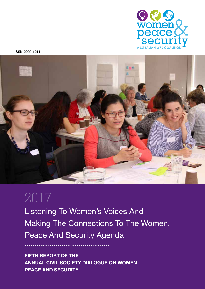

**ISSN 2209-1211**



# 2017

Listening To Women's Voices And Making The Connections To The Women, Peace And Security Agenda

**FIFTH REPORT OF THE ANNUAL CIVIL SOCIETY DIALOGUE ON WOMEN, PEACE AND SECURITY**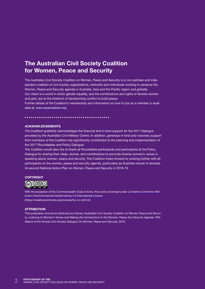### **The Australian Civil Society Coalition for Women, Peace and Security**

The Australian Civil Society Coalition on Women, Peace and Security is a non-partisan and independent coalition of civil society organisations, networks and individuals working to advance the Women, Peace and Security agenda in Australia, Asia and the Pacific region and globally. Our vision is a world in which gender equality, and the contributions and rights of diverse women and girls, are at the forefront of transforming conflict to build peace.

Further details of the Coalition's membership and information on how to join as a member is available at: www.wpscoalition.org

#### 

#### **ACKNOWLEDGEMENTS**

The Coalition gratefully acknowledges the financial and in-kind support for the 2017 Dialogue provided by the Australian Civil-Military Centre. In addition, generous in-kind and voluntary support from members of the Coalition has significantly contributed to the planning and implementation of the 2017 Roundtables and Policy Dialogue.

The Coalition would also like to thank all Roundtable participants and participants at the Policy Dialogue for sharing their ideas, stories, and contributions to promote diverse women's voices in speaking about women, peace and security. The Coalition looks forward to working further with all participants on the women, peace and security agenda, particularly as Australia moves to develop its second National Action Plan on Women, Peace and Security in 2018-19.

#### **COPYRIGHT**



With the exception of the Commonwealth Coat of Arms, this work is licensed under a Creative Commons Attribution-NonCommercial-NoDerivatives 4.0 International License. (https://creativecommons.org/licenses/by-nc-nd/4.0/)

#### **ATTRIBUTION**

This publication should be attributed as follows: Australian Civil Society Coalition on Women Peace and Security, *Listening to Women's Voices and Making the Connections to the Women, Peace And Security Agenda: Fifth Report of the Annual Civil Society Dialogue On Women, Peace and Security.* 2018.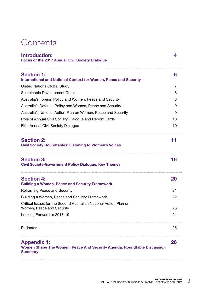### **Contents**

| Introduction:<br><b>Focus of the 2017 Annual Civil Society Dialogue</b>                                         | 4  |
|-----------------------------------------------------------------------------------------------------------------|----|
| <b>Section 1:</b><br><b>International and National Context for Women, Peace and Security</b>                    | 6  |
| <b>United Nations Global Study</b>                                                                              | 7  |
| Sustainable Development Goals                                                                                   | 8  |
| Australia's Foreign Policy and Women, Peace and Security                                                        | 8  |
| Australia's Defence Policy and Women, Peace and Security                                                        | 9  |
| Australia's National Action Plan on Women, Peace and Security                                                   | 9  |
| Role of Annual Civil Society Dialogue and Report Cards                                                          | 10 |
| <b>Fifth Annual Civil Society Dialogue</b>                                                                      | 10 |
| <b>Section 2:</b><br><b>Civil Society Roundtables: Listening to Women's Voices</b>                              | 11 |
| <b>Section 3:</b><br><b>Civil Society-Government Policy Dialogue: Key Themes</b>                                | 16 |
| <b>Section 4:</b><br><b>Building a Women, Peace and Security Framework</b>                                      | 20 |
| <b>Reframing Peace and Security</b>                                                                             | 21 |
| Building a Women, Peace and Security Framework                                                                  | 22 |
| Critical Issues for the Second Australian National Action Plan on<br>Women, Peace and Security                  | 23 |
| Looking Forward to 2018-19                                                                                      | 24 |
| Endnotes                                                                                                        | 25 |
| <b>Appendix 1:</b><br>Women Shape The Women, Peace And Security Agenda: Roundtable Discussion<br><b>Summary</b> | 26 |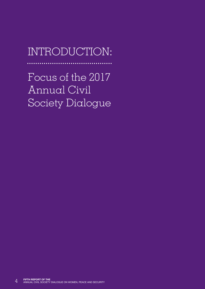# INTRODUCTION:

Focus of the 2017 Annual Civil Society Dialogue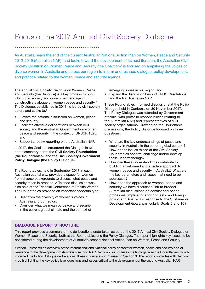### Focus of the 2017 Annual Civil Society Dialogue

As Australia nears the end of the current Australian National Action Plan on Women, Peace and Security 2012-2019 (Australian NAP)<sup>1</sup> and looks toward the development of its next iteration, the Australian Civil Society Coalition on Women Peace and Security (the Coalition)<sup>2</sup> is focused on amplifying the voices of diverse women in Australia and across our region to inform and reshape dialogue, policy development, and practice related to the women, peace and security agenda.

The Annual Civil Society Dialogue on Women, Peace and Security (the Dialogue) is a key process through which civil society and government engage in constructive dialogue on women peace and security.3 The Dialogue, established in 2013, is led by civil society actors and seeks to:4

- Elevate the national discussion on women, peace and security;
- Facilitate effective deliberations between civil society and the Australian Government on women, peace and security in the context of UNSCR 1325; and
- Support shadow reporting on the Australian NAP.

In 2017, the Coalition structured the Dialogue in two complementary parts: the **Civil Society Roundtables (the Roundtables)**; and **the Civil Society-Government Policy Dialogue (the Policy Dialogue)**.

The Roundtables, held in September 2017 in each Australian capital city, provided a space for women from diverse backgrounds to discuss what peace and security mean in practice. A Talanoa discussion was also held at the Triennial Conference of Pacific Women. The Roundtables provided an important opportunity to:

- Hear from the diversity of women's voices in Australia and our region:
- Consider what we mean by peace and security in the current global climate and the context of

emerging issues in our region; and

• Expand the discussion beyond UNSC Resolutions and the first Australian NAP.

These Roundtables informed discussions at the Policy Dialogue held in Canberra on 30 November 2017. The Policy Dialogue was attended by Government officials (with portfolio responsibilities relating to the Australian NAP) and representatives of civil society organisations. Drawing on the Roundtable discussions, the Policy Dialogue focused on three questions:

- What are the key understandings of peace and security in Australia in the current global context? How do the issues raised at the Civil Society Roundtables confirm, challenge and/or develop these understandings?
- How can these understandings contribute to building an informed and effective approach to women, peace and security in Australia? What are the key parameters and issues that need to be addressed?
- How does the approach to women, peace and security we have discussed link to broader Australian discussions on conflict and peace processes; implications for domestic and foreign policy; and Australia's response to the Sustainable Development Goals, particularly Goals 5 and 16?

#### **DIALOGUE REPORT STRUCTURE**

This report provides a summary of the deliberations undertaken as part of the 2017 Annual Civil Society Dialogue on Women, Peace and Security, both at the Roundtables and the Policy Dialogue. The report highlights key issues to be considered during the development of Australia's second National Action Plan on Women, Peace and Security.

Section 1 presents an overview of the International and National policy context for women, peace and security and of relevance to the development of Australia's second NAP. Section 2 summarises the findings from the Roundtables, which informed the Policy Dialogue deliberations; these in turn are summarised in Section 3. The report concludes with Section 4 by highlighting the key policy level questions and issues critical to the development of the second Australian NAP.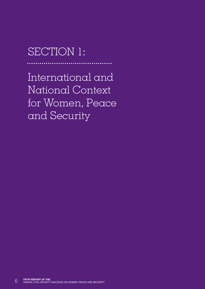# SECTION 1:

. . . . . . . . . .

International and National Context for Women, Peace and Security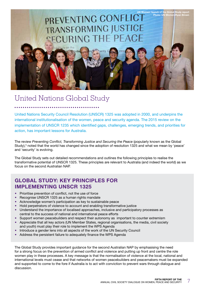

### United Nations Global Study

United Nations Security Council Resolution (UNSCR) 1325 was adopted in 2000, and underpins the international institutionalisation of the women, peace and security agenda. The 2015 review on the implementation of UNSCR 1235 which identified gaps, challenges, emerging trends, and priorities for action, has important lessons for Australia.

The review *Preventing Conflict, Transforming Justice and Securing the Peace* (popularly known as the Global Study),<sup>5</sup> noted that the world has changed since the adoption of resolution 1325 and what we mean by 'peace' and 'security' is evolving.

The Global Study sets out detailed recommendations and outlines the following principles to realise the transformative potential of UNSCR 1325. These principles are relevant to Australia (and indeed the world) as we focus on the second Australian NAP.

#### **GLOBAL STUDY: KEY PRINCIPLES FOR IMPLEMENTING UNSCR 1325**

- Prioritise prevention of conflict, not the use of force
- Recognise UNSCR 1325 as a human rights mandate
- Acknowledge women's participation as key to sustainable peace
- Hold perpetrators of violence to account and enabling transformative justice
- Understand the importance of localised approaches, inclusive and participatory processes as central to the success of national and international peace efforts
- Support women peacebuilders and respect their autonomy as important to counter extremism
- Appreciate that all key actors (UN Member States, regional organisations, the media, civil society and youth) must play their role to implement the WPS Agenda
- Introduce a gender lens into all aspects of the work of the UN Security Council
- Address the persistent failure to adequately finance the WPS Agenda

The Global Study provides important guidance for the second Australian NAP by emphasising the need for a strong focus on the prevention of armed conflict and violence and putting up front and centre the role women play in these processes. A key message is that the normalisation of violence at the local, national and international levels must cease and that networks of women peacebuilders and peacemakers must be expanded and supported to come to the fore if Australia is to act with conviction to prevent wars through dialogue and discussion.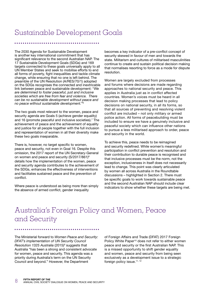### Sustainable Development Goals

The 2030 Agenda for Sustainable Development is another key international commitment that has significant relevance to the second Australian NAP. The 17 Sustainable Development Goals (SDGs) and 169 targets connected to these goals universally apply to all UN Member States and seek to mobilise efforts to end all forms of poverty, fight inequalities and tackle climate change, while ensuring that no one is left behind. The preamble of the UN Resolution (A/RES/70/1) adopted on the SDGs recognises the connected and inextricable link between peace and sustainable development: "*We are determined to foster peaceful, just and inclusive societies which are free from fear and violence. There can be no sustainable development without peace and no peace without sustainable development.*"6

The two goals most relevant to the women, peace and security agenda are Goals 5 (achieve gender equality) and 16 (promote peaceful and inclusive societies).<sup>7</sup> The achievement of peace and the achievement of equality and justice for all people together with the full inclusion and representation of women in all their diversity make these two goals inseparable.

There is, however, no target specific to women, peace and security, not even in Goal 16. Despite this omission, the 2017 report of the UN Secretary-General on women and peace and security (S/2017/861)<sup>8</sup> details how the implementation of the women, peace and security agenda contributes to the achievement of the SDGs, enhances the effectiveness of interventions and facilitates sustained peace and the prevention of conflict.

Where peace is understood as being more than simply the absence of armed conflict, gender inequality

becomes a key indicator of a pre-conflict concept of security skewed in favour of men and towards the state. Militarism and cultures of militarised masculinities continue to create and sustain political decision making that normalises resorting to force as a mode for dispute resolution.

Women are largely excluded from processes and forums where decisions are made regarding approaches to national security and peace. This applies in Australia just as in conflict affected countries. Women's voices must be heard in all decision making processes that lead to policy decisions on national security, in all its forms, so that all sources of preventing and resolving violent conflict are included – not only military or armed police action. All forms of peacebuilding must be included to ensure we have a genuinely inclusive and peaceful society which can influence other nations to pursue a less militarised approach to order, peace and security in the world.

To achieve this, peace needs to be reimagined and security redefined. While women's meaningful participation in conflict prevention and resolution and their contribution to durable peace is recognised and that inclusive processes must be the norm, not the exception, inclusiveness in itself does not necessarily lead to change. This point was clearly articulated by women all across Australia in the Roundtable discussions – highlighted in Section 2. There must be specific goals to work towards sustainable peace and the second Australian NAP should include clear indicators to show whether these targets are being met.

### Australia's Foreign Policy and Women, Peace and Security

The Ministerial forward to *Women Peace and Security: DFAT's implementation of UN Security Council*  Resolution 1325 Australia (2015)<sup>9</sup> suggests that Australia "has been a strong and consistent advocate for women, peace and security. This agenda was a priority during Australia's term on the UN Security Council and beyond." However, the Department

of Foreign Affairs and Trade (DFAT) 2017 Foreign Policy White Paper<sup>10</sup> does not refer to either women peace and security or the first Australian NAP. This is a missed opportunity to shift gender equality and women, peace and security from being seen exclusively as a development issue to a strategic foreign policy issue.<sup>11, 12</sup>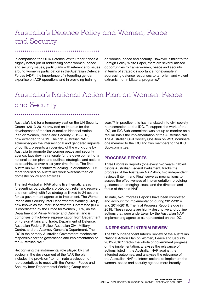### Australia's Defence Policy and Women, Peace and Security

In comparison the 2016 Defence White Paper<sup>13</sup> does a slightly better job of addressing some women, peace and security issues, particularly with reference to issues around women's participation in the Australian Defence Forces (ADF), the importance of integrating gender expertise on ADF operations and in providing training

on women, peace and security. However, similar to the Foreign Policy White Paper, there are several missed opportunities to frame women, peace and security in terms of strategic importance; for example in addressing defence responses to terrorism and violent extremism or in bilateral programs.<sup>14</sup>

### Australia's National Action Plan on Women, Peace and Security

Australia's bid for a temporary seat on the UN Security Council (2013-2014) provided an impetus for the development of the first Australian National Action Plan on Women, Peace and Security 2012-2018, now extended to 2019. The first Australian NAP acknowledges the intersectional and gendered impacts of conflict, presents an overview of the work done by Australia to promote the women peace and security agenda, lays down a rationale for the development of a national action plan, and outlines strategies and actions to be achieved over a six-year time frame. The first Australian NAP is 'outward looking' in orientation – i.e. more focused on Australia's work overseas than on domestic policy and activities.

The first Australian NAP aligns five thematic areas (preventing, participation, protection, relief and recovery and normative) with five strategies linked to 24 actions for six government agencies to implement. The Women, Peace and Security Inter Departmental Working Group, now known as the Inter Departmental Committee (IDC), is coordinated by the Office for Women (OFW) (in the Department of Prime Minister and Cabinet) and is comprises of high-level representation from Department of Foreign Affairs and Trade, Department of Defence, Australian Federal Police, Australian Civil-Military Centre, and the Attorney General's Department. The IDC is the primary Australian Government mechanism responsible for the governance and implementation of the Australian NAP.

Recognising the instrumental role played by civil society in the development of the NAP, the plan includes the provision "to nominate a selection of representatives to meet with the Women, Peace and Security Inter-Departmental Working Group each

year."15 In practice, this has translated into civil society representation on the IDC. To support the work of the IDC, an IDC Sub-committee was set up to monitor on a regular basis the implementation of the Australian NAP. The Australian Civil Society Coalition on WPS nominate one member to the IDC and two members to the IDC Sub-committee.

#### **PROGRESS REPORTS**

Three Progress Reports (one every two years), tabled before Australian Federal Parliament, tracks the progress of the Australian NAP. Also, two independent reviews (Interim and Final) serve as mechanisms to assess the effectiveness of implementation, providing guidance on emerging issues and the direction and focus of the next NAP.

To date, two Progress Reports have been completed and account for implementation during 2012-2014 and 2014-2016. The final Progress Report is due in 2018. These reports are highly descriptive and outline actions that were undertaken by the Australian NAP implementing agencies as represented on the IDC.

#### **INDEPENDENT INTERIM REVIEW**

The 2015 Independent Interim Review of the Australian National Action Plan on Women, Peace and Security 2012-201816 tracks the whole of government progress on the implementation, analyses the relevance of actions listed in the Australian NAP against the intended outcomes, and analyses the relevance of the Australian NAP to inform actions to implement the women, peace and security agenda more broadly.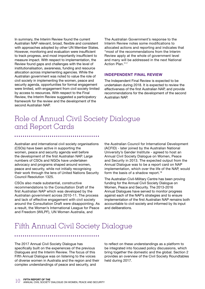In summary, the Interim Review found the current Australian NAP relevant, broad, flexible and consistent with approaches adopted by other UN Member States. However, monitoring and evaluation were insufficient to track progress, and most importantly insufficient to measure impact. With respect to implementation, the Review found gaps and challenges with the level of institutionalisation, awareness, funding and resource allocation across implementing agencies. While the Australian government was noted to value the role of civil society in implementing the women, peace and security agenda, opportunities for formal engagement were limited, with engagement from civil society limited by access to resources. With respect to the Final Review, the Interim Review suggested a participatory framework for the review and the development of the second Australian NAP.

The Australian Government's response to the Interim Review notes some modifications to allocated actions and reporting and indicates that "most of the recommendations from the Interim Review apply at the whole of government level and many will be addressed in the next National Action Plan."17

#### **INDEPENDENT FINAL REVIEW**

The Independent Final Review is expected to be undertaken during 2018. It is expected to review the effectiveness of the first Australian NAP, and provide recommendations for the development of the second Australian NAP.

### Role of Annual Civil Society Dialogue and Report Cards

Australian and international civil society organisations (CSOs) have been active in supporting the women, peace and security agenda well before the development of the first Australian NAP. Large numbers of CSOs and NGOs have undertaken advocacy and programs shaped around women, peace and security, while not initially recognising their work through the lens of United Nations Security Council Resolution 1325.

CSOs also made substantial, constructive recommendations to the Consultation Draft of the first Australian NAP which was developed by the Australian government across 2010-11. The process and lack of effective engagement with civil society around the Consultation Draft were disappointing. As a result, the Women's International League for Peace and Freedom (WILPF), UN Women Australia, and

the Australian Council for International Development (ACFID) - later joined by the Australian National University's Gender Institute - agreed to host an Annual Civil Society Dialogue on Women, Peace and Security in 2013. The expected output from the Annual Dialogue was to be a report card on NAP implementation, which over the life of the NAP, would form the basis of a shadow report.<sup>18</sup>

The Australian Civil-Military Centre has been proving funding for the Annual Civil Society Dialogue on Women, Peace and Security. The 2013-2016 Annual Dialogues have served to monitor progress against each of the NAP's strategies and to ensure implementation of the first Australian NAP remains both accountable to civil society and informed by its input and deliberations.

### Fifth Annual Civil Society Dialogue

The 2017 Annual Civil Society Dialogue has specifically built on the experiences of the previous Dialogues and the Interim Review. The focus of this Fifth Annual Dialogue was on listening to the voices of diverse women in Australia and the region and their complex understandings of peace and security, and

to reflect on these understandings as a platform to be integrated into focused policy discussions, which bring together the domestic and the global. Section 2 provides an overview of the Civil Society Roundtables held during 2017.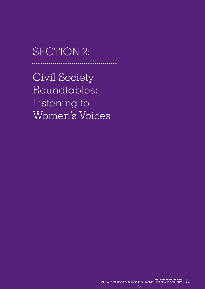# SECTION 2:

. . . . . . . . . . . .

Civil Society Roundtables: Listening to Women's Voices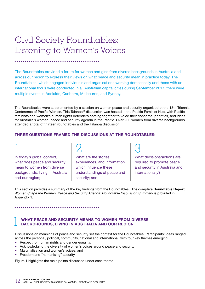### Civil Society Roundtables: Listening to Women's Voices

The Roundtables provided a forum for women and girls from diverse backgrounds in Australia and across our region to express their views on what peace and security mean in practice today. The Roundtables, which engaged individuals and organisations working domestically and those with an international focus were conducted in all Australian capital cities during September 2017; there were multiple events in Adelaide, Canberra, Melbourne, and Sydney.

The Roundtables were supplemented by a session on women peace and security organised at the 13th Triennial Conference of Pacific Women. This Talanoa<sup>19</sup> discussion was hosted in the Pacific Feminist Hub, with Pacific feminists and women's human rights defenders coming together to voice their concerns, priorities, and ideas for Australia's women, peace and security agenda in the Pacific. Over 200 women from diverse backgrounds attended a total of thirteen roundtables and the Talanoa discussion.

#### **THREE QUESTIONS FRAMED THE DISCUSSIONS AT THE ROUNDTABLES:**

In today's global context, what does peace and security mean to women from diverse backgrounds, living in Australia and our region; 1

2 3

What are the stories, experiences, and information which influence these understandings of peace and security; and

What decisions/actions are required to promote peace and security in Australia and internationally?

This section provides a summary of the key findings from the Roundtables. The complete **Roundtable Report** *Women Shape the Women, Peace and Security Agenda: Roundtable Discussion Summary is provided in* Appendix 1.

#### 

#### 1 **WHAT PEACE AND SECURITY MEANS TO WOMEN FROM DIVERSE BACKGROUNDS, LIVING IN AUSTRALIA AND OUR REGION**

Discussions on meanings of peace and security set the context for the Roundtables. Participants' ideas ranged across the personal, political, community, national and international, with four key themes emerging:

- Respect for human rights and gender equality;
- Acknowledging the diversity of women's voices around peace and security;
- Marginalisation and women's voices; and
- Freedom and "humanising" security.

Figure 1 highlights the main points discussed under each theme.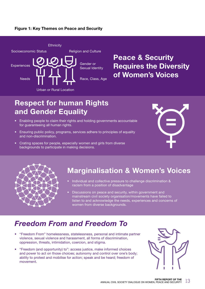#### **Figure 1: Key Themes on Peace and Security**



### **Respect for human Rights and Gender Equality**

- Enabling people to claim their rights and holding governments accountable for guaranteeing all human rights.
- Ensuring public policy, programs, services adhere to principles of equality and non-discrimination.
- Crating spaces for people, especially women and girls from diverse backgrounds to participate in making decisions.





### **Marginalisation & Women's Voices**

- Individual and collective pressure to challenge discrimination & racism from a position of disadvantage
- Discussions on peace and security, within government and mainstream civil society organisation/movements have failed to listen to and acknowledge the needs, experiences and concerns of women from diverse backgrounds.

### *Freedom From and Freedom To*

- "Freedom From" homelessness, statelessness, personal and intimate partner violence, sexual violence and harassment, all forms of discrimination, oppression, threats, intimidation, coercion, and stigma.
- "Freedom (and opportunity) to": access justice, make informed choices and power to act on those choices; autonomy and control over one's body; ability to protest and mobilise for action; speak and be heard; freedom of movement.

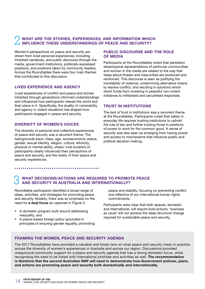#### WHAT ARE THE STORIES, EXPERIENCES, AND INFORMATION WHICK INFLUENCE THESE UNDERSTANDINGS OF PEACE AND SECURITY? **WHAT ARE THE STORIES, EXPERIENCES, AND INFORMATION WHICH**

Women's perspectives on peace and security are drawn from lived personal experiences, including inherited narratives, and public discourse through the media, government institutions, politically expressed positions, and positions taken by community leaders. Across the Roundtables there were four main themes that contributed to this discussion.

#### **LIVED EXPERIENCE AND AGENCY**

Lived experiences of conflict and peace and stories inherited through generations informed understandings and influenced how participants viewed the world and their place in it. Specifically, the duality of vulnerability and agency in violent situations has shaped how participants engaged in peace and security.

#### **DIVERSITY OF WOMEN'S VOICES**

The diversity of personal and collective experiences of peace and security was a recurrent theme. The backgrounds (race, class, age, socioeconomic status, gender, sexual identity, religion, culture, ethnicity, physical or mental ability, urban/ rural location) of participants clearly influenced their perceptions of peace and security, and the reality of their peace and security experiences.

#### **PUBLIC DISCOURSE AND THE ROLE OF MEDIA**

Participants at the Roundtables noted that persistent stereotypical representations of particular communities and women in the media are related to the way that ideas about threats and insecurities are produced and reinforced. This discourse is seen as justifying the inevitability of violence, undermining alternative means to resolve conflict, and resulting in solutions which divert funds from investing in peaceful non-violent initiatives to militarised and securitised responses.

#### **TRUST IN INSTITUTIONS**

The *lack of* trust in institutions was a recurrent theme at the Roundtables. Participants noted that safety in everyday life requires trusting institutions to uphold the rule of law and further trusting those in positions of power to work for the common good. A sense of security was also seen as emerging from having power and access to mechanisms that influence public and political decision-making.

#### 3 **WHAT DECISIONS/ACTIONS ARE REQUIRED TO PROMOTE PEACE AND SECURITY IN AUSTRALIA AND INTERNATIONALLY?**

Roundtable participants identified a broad range of ideas, activities, and strategies for promoting peace and security. Notably, there was an emphasis on the need for **a dual focus** as captured in Figure 2:

- A domestic program built around addressing inequality; and
- A peace-based foreign policy grounded in principles of ensuring gender equality, promoting

peace and stability, focusing on preventing conflict and reflective of our international human rights commitments.

Participants were clear that both spaces, domestic and international, will require bold actions: 'business as usual' will not achieve the deep structural change required for sustainable peace and security.

#### **FRAMING THE WOMEN, PEACE AND SECURITY AGENDA**

The 2017 Roundtables have provided a valuable and timely lens on what peace and security mean in practice across the diversity of women's experiences in Australia and across our region. Discussions provided unequivocal community support for a peace and security agenda that has a strong domestic focus, while recognising the need to be linked with international priorities and activities as well. **The recommendation is therefore that the second Australian NAP will need to demonstrate how Government policies, plans, and actions are promoting peace and security both domestically and internationally.**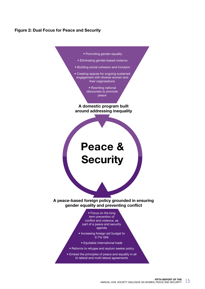#### **Figure 2: Dual Focus for Peace and Security**

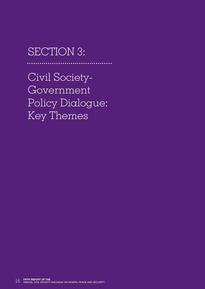# SECTION 3:

. **. . . . . . . . .** 

Civil Society-Government Policy Dialogue: Key Themes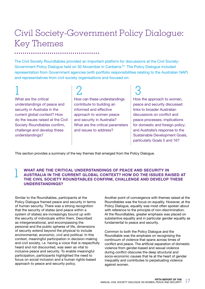## Civil Society-Government Policy Dialogue: Key Themes

The Civil Society Roundtables provided an important platform for discussions at the Civil Society-Government Policy Dialogue held on 30 November in Canberra.20 The Policy Dialogue included representation from Government agencies (with portfolio responsibilities relating to the Australian NAP) and representatives from civil society organisations and focused on:

What are the critical understandings of peace and security in Australia in the current global context? How do the issues raised at the Civil Society Roundtables confirm, challenge and develop these understandings? 1 2 3

How can these understandings contribute to building an informed and effective approach to women peace and security in Australia? What are the critical parameters and issues to address?

How the approach to women, peace and security discussed links to broader Australian discussions on conflict and peace processes; implications for domestic and foreign policy; and Australia's response to the Sustainable Development Goals, particularly Goals 5 and 16?

This section provides a summary of the key themes that emerged from the Policy Dialogue.

#### **1 WHAT ARE THE CRITICAL UNDERSTANDINGS OF PEACE AND SECURITY IN<br>4USTRALIA IN THE CURRENT GLOBAL CONTEXT? HOW DO THE ISSUES RA<br>THE CIVIL SOCIETY ROUNDTABLES CONFIRM CHALLENGE AND DEVELOP AUSTRALIA IN THE CURRENT GLOBAL CONTEXT? HOW DO THE ISSUES RAISED AT THE CIVIL SOCIETY ROUNDTABLES CONFIRM, CHALLENGE AND DEVELOP THESE UNDERSTANDINGS?**

Similar to the Roundtables, participants at the Policy Dialogue framed peace and security in terms of human security. There was a strong recognition that the security of states (and peace within a system of states) are increasingly bound up with the security of individuals within them. Described as intergenerational, and encompassing the personal and the public spheres of life, dimensions of security extend beyond the physical to include environmental, economic, civil and political. In this context, meaningful participation in decision-making and civil society, i.e. having a voice that is respectfully heard and not discounted, was seen as vital to inclusive peace and security. To enable meaningful participation, participants highlighted the need to focus on social inclusion and a human rights-based approach to peace and security policy.

Another point of convergence with themes raised at the Roundtables was the focus on equality. However, at the Policy Dialogue, equality was most often spoken about with reference to the principle of non-discrimination. At the Roundtables, greater emphasis was placed on substantive equality and in particular gender equality as fundamental to peace and security.

Common to both the Policy Dialogue and the Roundtable was the emphasis on recognising the continuum of violence that spans across times of conflict and peace. The artificial separation of domestic violence from gender-based and sexual violence during conflict obscures the deep structural and socio-economic causes that lie at the heart of gender inequality and contributes to perpetuating violence against women.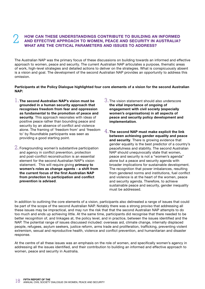### **EXAMPLE AND FIRE CONTRIBUTE TO BUILDING AN INFORMED**<br>
AND EFFECTIVE APPROACH TO WOMEN, PEACE AND SECURITY IN AUSTRALIA?<br>
WHAT ARE THE CRITICAL PARAMETERS AND ISSUES TO ADDRESS? **WHAT ARE THE CRITICAL PARAMETERS AND ISSUES TO ADDRESS?**

The Australian NAP was the primary focus of these discussions on building towards an informed and effective approach to women, peace and security. The current Australian NAP articulates a purpose, thematic areas of work, high-level strategies and detailed actions to deliver on the strategies. What is conspicuously absent is a vision and goal. The development of the second Australian NAP provides an opportunity to address this omission.

#### **Participants at the Policy Dialogue highlighted four core elements of a vision for the second Australian NAP:**

- 1. **The second Australian NAP's vision must be grounded in a human security approach that recognises freedom from fear and oppression as fundamental to the promotion of peace and security**. This approach resonates with ideas of positive peace rather than bounding peace and security by an absence of conflict and violence alone. The framing of 'freedom from' and 'freedom to' by Roundtable participants was seen as providing a good starting point.
- $2.$  Foregrounding women's substantive participation and agency in conflict prevention, protection and post-conflict reconstruction is an essential element for the second Australian NAP's vision statement. This will require giving **primacy to women's roles as change agents - a shift from the current focus of the first Australian NAP from protection to participation and conflict prevention is advised**.
- $3.$  The vision statement should also underscore **the vital importance of ongoing of engagement with civil society (especially women's organisations) in all aspects of peace and security policy development and implementation**.
- 4. **The second NAP must make explicit the link between achieving gender equality and peace and security**. There is growing evidence that gender equality is the best predictor of a country's peacefulness and stability. The second Australian NAP should unequivocally state that women, peace and security is not a "women's agenda" alone but a peace and security agenda with broader implications for sustainable development. The recognition that power imbalances, resulting from gendered norms and institutions, fuel conflict and violence is at the heart of the women, peace and security agenda. Therefore, to achieve sustainable peace and security, gender inequality must be addressed.

In addition to outlining the core elements of a vision, participants also delineated a range of issues that could be part of the scope of the second Australian NAP. Notably there was a strong proviso that addressing all these issues may be impractical, and may run the risk that that the second Australian NAP attempts to do too much and ends up achieving little. At the same time, participants did recognise that there needed to be better recognition of, and linkages at, the policy level, and in practice, between the issues identified and the NAP. The potential range of issues discussed included: overseas aid, climate change, internally displaced people, refugees, asylum seekers, justice reform, arms trade and proliferation, trafficking, preventing violent extremism, sexual and reproductive health, violence and conflict prevention, and humanitarian and disaster response.

At the centre of all these issues was an emphasis on the role of women, and specifically women's agency in addressing all the issues identified, and their contribution to building an informed and effective approach to women, peace and security in Australia.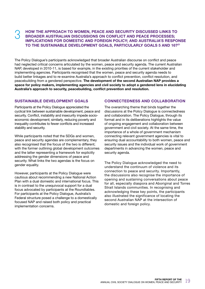#### 3 **HOW THE APPROACH TO WOMEN, PEACE AND SECURITY DISCUSSED LINKS TO BROADER AUSTRALIAN DISCUSSIONS ON CONFLICT AND PEACE PROCESSES; IMPLICATIONS FOR DOMESTIC AND FOREIGN POLICY; AND AUSTRALIA'S RESPONSE TO THE SUSTAINABLE DEVELOPMENT GOALS, PARTICULARLY GOALS 5 AND 16?21**

The Policy Dialogue's participants acknowledged that broader Australian discourse on conflict and peace had neglected critical concerns articulated by the women, peace and security agenda. The current Australian NAP, developed in 2010-11, is based for example, in the existing priorities of the current stakeholder and implementing agencies. Participants recognised that the women, peace and security agenda needs to build better linkages and to re-examine Australia's approach to conflict prevention, conflict resolution, and peacebuilding from a gendered perspective. **The development of the second Australian NAP provides a space for policy makers, implementing agencies and civil society to adopt a gendered lens in elucidating Australia's approach to security, peacebuilding, conflict prevention and resolution.** 

#### **SUSTAINABLE DEVELOPMENT GOALS**

Participants at the Policy Dialogue appreciated the cyclical link between sustainable development, peace and security. Conflict, instability and insecurity impede socioeconomic development; similarly, reducing poverty and inequality contributes to fewer conflicts and increased stability and security.

While participants noted that the SDGs and women, peace and security agendas are complementary, they also recognised that the focus of the two is different; with the former outlining global development outcomes and the latter representing a framework for explicitly addressing the gender dimensions of peace and security. What links the two agendas is the focus on gender equality.

However, participants at the Policy Dialogue were cautious about recommending a new National Action Plan with a dual domestic and international focus. This is in contrast to the unequivocal support for a dual focus advocated by participants at the Roundtables. For participants at the Policy Dialogue, Australia's Federal structure posed a challenge to a domestically focused NAP and raised both policy and practical implementation concerns.

#### **CONNECTEDNESS AND COLLABORATION**

The overarching theme that binds together the discussions at the Policy Dialogue is connectedness and collaboration. The Policy Dialogue, through its format and in its deliberations highlights the value of ongoing engagement and collaboration between government and civil society. At the same time, the importance of a whole of government mechanism connecting relevant government agencies is vital to ensuring dual accountability to both women, peace and security issues and the individual work of government departments in advancing the women, peace and security agenda.

The Policy Dialogue acknowledged the need to understand the continuum of violence and its connection to peace and security. Importantly, the discussions also recognise the importance of opening and sustaining conversations about peace for all, especially diaspora and Aboriginal and Torres Strait Islands communities. In recognising and acknowledging these key points, the participants also illustrated the significance of locating the second Australian NAP at the intersection of domestic and foreign policy.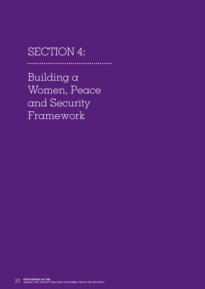# SECTION 4:

. . . . . . . . . . . . . .

Building a Women, Peace and Security Framework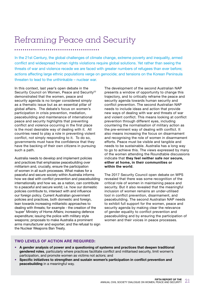### Reframing Peace and Security

In the 21st Century, the global challenges of climate change, extreme poverty and inequality, armed conflict and widespread human rights violations require global solutions. Yet rather than seeing the threats of war and violence recede we are faced with greater numbers of refugees than ever before; actions affecting large ethnic populations verge on genocide; and tensions on the Korean Peninsula threaten to lead to the unthinkable – nuclear war.

In this context, last year's open debate in the Security Council on Women, Peace and Security<sup>22</sup> demonstrated that the women, peace and security agenda is no longer considered simply as a thematic issue but as an essential pillar of global affairs. The debate's focus on women's participation in crisis prevention, mediation, peacebuilding and maintenance of international peace and security highlights that preventing conflict and violence occurring in the first place is the most desirable way of dealing with it. All countries need to play a role in preventing violent conflict, not simply responding to it. To do so, governments must have the confidence that they have the backing of their own citizens in pursuing such a path.

Australia needs to develop and implement policies and practices that emphasise peacebuilding over militarism and, crucially, ensure the participation of women in all such processes. What makes for a peaceful and secure society within Australia informs how we deal with conflict prevention and peacebuilding internationally and how we, as a nation, can contribute to a peaceful and secure world; i.e. how our domestic policies contribute to, intersect with and influence our foreign policy. Current Australian government policies and practices, both domestic and foreign, lean towards increasing militaristic approaches to dealing with threats; for example - the creation of the 'super' Ministry of Home Affairs; increasing defence expenditure; issuing the police with military style weapons; proposals to make Australia a prominent arms manufacturer and exporter; and the refusal to sign the Nuclear Weapons Ban Treaty.

The development of the second Australian NAP presents a window of opportunity to change this trajectory, and to critically reframe the peace and security agenda towards human security and conflict prevention. The second Australian NAP needs to include ideas and action that provide new ways of dealing with war and threats of war and violent conflict. This means looking at conflict prevention through different eyes, including countering the normalisation of military action as the pre-eminent way of dealing with conflict. It also means increasing the focus on disarmament and recognising the role of women in disarmament efforts. Peace must be visible and tangible and needs to be sustainable. Australia has a long way to go to achieve this. The views expressed by many of the women attending the Roundtable discussions indicate that **they feel neither safe nor secure, either at home, in their communities or within the world**.

The 2017 Security Council open debate on WPS revealed that there was some recognition of the critical role of women in maintaining peace and security. But it also revealed that the meaningful inclusion of women remains an under-utilised tool in conflict prevention, disarmament, and peacebuilding. The second Australian NAP needs to exhibit full support for the women, peace and security agenda by making clear the relevance of gender equality to conflict prevention and peacebuilding and by ensuring the participation of women and their voices in peace processes.

#### **TWO LEVELS OF ACTION ARE REQUIRED:**

- **• A gender analysis of power and a questioning of systems and practices that deepen traditional gendered roles**, particularly where practices facilitate conflict and militarised security, limit women's participation, and promote women as victims not actors; and
- **• Specific initiatives to strengthen and sustain women's participation in conflict prevention and peacebuilding** in a meaningful way.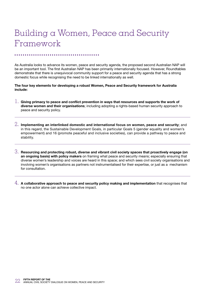## Building a Women, Peace and Security Framework

As Australia looks to advance its women, peace and security agenda, the proposed second Australian NAP will be an important tool. The first Australian NAP has been primarily internationally focused. However, Roundtables demonstrate that there is unequivocal community support for a peace and security agenda that has a strong domestic focus while recognising the need to be linked internationally as well.

**The four key elements for developing a robust Women, Peace and Security framework for Australia include:**

- 1. **Giving primacy to peace and conflict prevention in ways that resources and supports the work of diverse women and their organisations**; including adopting a rights-based human security approach to peace and security policy.
- 2. **Implementing an interlinked domestic and international focus on women, peace and security**; and in this regard, the Sustainable Development Goals, in particular Goals 5 (gender equality and women's empowerment) and 16 (promote peaceful and inclusive societies), can provide a pathway to peace and stability.
- 3. **Resourcing and protecting robust, diverse and vibrant civil society spaces that proactively engage (on an ongoing basis) with policy makers** on framing what peace and security means; especially ensuring that diverse women's leadership and voices are heard in this space; and which sees civil society organisations and involving women's organisations as partners not instrumentalised for their expertise, or just as a mechanism for consultation.
- 4. **A collaborative approach to peace and security policy making and implementation** that recognises that no one actor alone can achieve collective impact.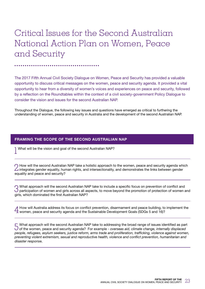## Critical Issues for the Second Australian National Action Plan on Women, Peace and Security

The 2017 Fifth Annual Civil Society Dialogue on Women, Peace and Security has provided a valuable opportunity to discuss critical messages on the women, peace and security agenda. It provided a vital opportunity to hear from a diversity of women's voices and experiences on peace and security, followed by a reflection on the Roundtables within the context of a civil society-government Policy Dialogue to consider the vision and issues for the second Australian NAP.

Throughout the Dialogue, the following key issues and questions have emerged as critical to furthering the understanding of women, peace and security in Australia and the development of the second Australian NAP.

#### **FRAMING THE SCOPE OF THE SECOND AUSTRALIAN NAP**

1 What will be the vision and goal of the second Australian NAP?

2 How will the second Australian NAP take a holistic approach to the women, peace and security agenda which integrates gender equality, human rights, and intersectionality, and demonstrates the links between gender equality and peace and security?

O What approach will the second Australian NAP take to include a specific focus on prevention of conflict and<br>
O participation of women and girls across all aspects, to move beyond the promotion of protection of women and participation of women and girls across all aspects, to move beyond the promotion of protection of women and girls, which dominated the first Australian NAP?

4 How will Australia address its focus on conflict prevention, disarmament and peace building, to implement the women, peace and security agenda and the Sustainable Development Goals (SDGs 5 and 16)?

Unat approach will the second Australian NAP take to addressing the broad range of issues identified as part<br>
U of the women, peace and security agenda? For example - overseas aid, climate change, internally displaced *people, refugees, asylum seekers, justice reform, arms trade and proliferation, trafficking, violence against women, preventing violent extremism, sexual and reproductive health, violence and conflict prevention, humanitarian and disaster respons*e.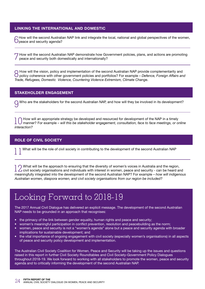#### **LINKING THE INTERNATIONAL AND DOMESTIC**

How will the second Australian NAP link and integrate the local, national and global perspectives of the women,  $\bigcup$  peace and security agenda?

7 How will the second Australian NAP demonstrate how Government policies, plans, and actions are promoting peace and security both domestically and internationally?

8 How will the vision, policy and implementation of the second Australian NAP provide complementarity and policy coherence with other government policies and portfolios? For example – *Defence, Foreign Affairs and Trade, Refugees, Domestic Violence, Countering Violence Extremism, Climate Chang*e.

#### **STAKEHOLDER ENGAGEMENT**

Who are the stakeholders for the second Australian NAP, and how will they be involved in its development?

10 How will an appropriate strategy be developed and resourced for development of the NAP in a timely manner? For example – *will this be stakeholder engagement, consultation, face to face meetings, or online interaction?*

#### **ROLE OF CIVIL SOCIETY**

What will be the role of civil society in contributing to the development of the second Australian NAP

12 What will be the approach to ensuring that the diversity of women's voices in Australia and the region, civil society organisations and individuals with interest in women, peace and security - can be heard and meaningfully integrated into the development of the second Australian NAP? For example – *how will indigenous Australian women, diaspora women, and civil society organisations from our region be included?*

### Looking Forward to 2018-19

The 2017 Annual Civil Dialogue has delivered an explicit message. The development of the second Australian NAP needs to be grounded in an approach that recognises:

- the primacy of the link between gender equality, human rights and peace and security;
- women's meaningful participation in conflict prevention, resolution and peacebuilding as the norm;
- women, peace and security is not a "women's agenda" alone but a peace and security agenda with broader implications for sustainable development; and
- the vital importance of ongoing engagement with civil society (especially women's organisations) in all aspects of peace and security policy development and implementation.

The Australian Civil Society Coalition for Women, Peace and Security will be taking up the issues and questions raised in this report in further Civil Society Roundtables and Civil Society-Government Policy Dialogues throughout 2018-19. We look forward to working with all stakeholders to promote the women, peace and security agenda and to critically informing the development of the second Australian NAP.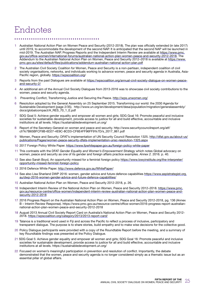### Endnotes

................

- Australian National Action Plan on Women Peace and Security (2012-2018). The plan was officially extended (in late 2017) until 2019, to accommodate the development of the second NAP. It is anticipated that the second NAP will be launched in mid-2019. The Australian NAP, Progress Reports and the Independent Interim Review are available at https://www.pmc. gov.au/office-women/international-forums/australian-national-action-plan-women-peace-and-security-2012-2018. The Addendum to the Australian National Action Plan on Women, Peace and Security 2012–2018 is available at https://www. pmc.gov.au/sites/default/files/publications/addendum-australian-national-action-plan.pdf
- 2 The Australian Civil Society Coalition for Women, Peace and Security is a non-partisan, independent coalition of civil society organisations, networks, and individuals working to advance women, peace and security agenda in Australia, Asia-Pacific region, globally. https://wpscoalition.org/
- 3 Reports from the past Dialogues are available at https://wpscoalition.org/annual-civil-society-dialogue-on-women-peaceand-security-2/
- 4 An additional aim of the Annual Civil Society Dialogues from 2013-2016 was to showcase civil society contributions to the women, peace and security agenda.
- 5 Preventing Conflict, Transforming Justice and Securing the Peace. http://wps.unwomen.org/
- 6 Resolution adopted by the General Assembly on 25 September 2015. Transforming our world: the 2030 Agenda for Sustainable Development (page 2/35). http://www.un.org/en/development/desa/population/migration/generalassembly/ docs/globalcompact/A\_RES\_70\_1\_E.pdf
- 7 SDG Goal 5: Achieve gender equality and empower all women and girls; SDG Goal 16: Promote peaceful and inclusive societies for sustainable development, provide access to justice for all and build effective, accountable and inclusive institutions at all levels. https://sustainabledevelopment.un.org/
- 8 Report of the Secretary-General on women and peace and security. http://www.securitycouncilreport.org/atf/ cf/%7B65BFCF9B-6D27-4E9C-8CD3-CF6E4FF96FF9%7D/s\_2017\_861.pdf
- 9 Women, Peace and Security: DFAT's implementation of UN Security Council Resolution 1325. http://dfat.gov.au/about-us/ publications/Pages/women-peace-security-dfats-implementation-unsc-resolution-1325.aspx
- 10 2017 Foreign Policy White Paper. https://www.fpwhitepaper.gov.au/foreign-policy-white-paper
- 11 This contrasts with the DFAT *Gender Equality and Women's Empowerment Strategy* which notes Global advocacy on women, peace and security as one of its gender and foreign affairs practice examples. *Annex 2.* 2016. p. 40.
- 12 See also Sarah Boyd, An opportunity missed for a feminist foreign policy https://www.lowyinstitute.org/the-interpreter/ opportunity-missed-feminist-foreign-policy
- 13 2016 Defence White Paper. http://www.defence.gov.au/WhitePaper/
- 14 See also Lisa Sharland DWP 2016: women, gender advice and future defence capabilities https://www.aspistrategist.org. au/dwp-2016-women-gender-advice-and-future-defence-capabilities/
- 15 Australian National Action Plan on Women, Peace and Security 2012-2018, p. 26.
- 16 Independent Interim Review of the National Action Plan on Women, Peace and Security 2012–2018. https://www.pmc. gov.au/resource-centre/office-women/independent-interim-review-australian-national-action-plan-women-peace-andsecurity-2012-2018
- 17 2016 Progress Report on the Australian National Action Plan on Women, Peace and Security 2012-2018, pg. 136 (Annex B – Interim Review Response). https://www.pmc.gov.au/resource-centre/office-women/2016-progress-report-australiannational-action-plan-women-peace-and-security-2012-2018
- 18 August 2013 Annual Civil Society Report Card on Australia's National Action Plan on Women, Peace and Security 2012- 2018. https://wpscoalition.org/category/2013/2013-report-card/
- 19 Talanoa is a traditional word used in Fiji and across the Pacific to reflect a process of inclusive, participatory and transparent dialogue. The purpose is to share stories, build empathy and to make wise decisions for the collective good.
- 20 Policy Dialogue participants were provided with a copy of the Roundtable Report before the meeting, and a summary of key Roundtable findings was presented at the Policy Dialogue.
- 21 SDG Goal 5: Achieve gender equality and empower all women and girls; SDG Goal 16: Promote peaceful and inclusive societies for sustainable development, provide access to justice for all and build effective, accountable and inclusive institutions at all levels. https://sustainabledevelopment.un.org/
- 22 Focused on women's meaningful participation in prevention and resolution of conflict. Importantly, the debate demonstrated that the women, peace and security agenda is no longer considered simply as a thematic issue but as an essential pillar of global affairs.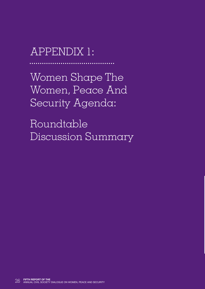# APPENDIX 1:

. . . . . . . . .

Women Shape The Women, Peace And Security Agenda:

Roundtable Discussion Summary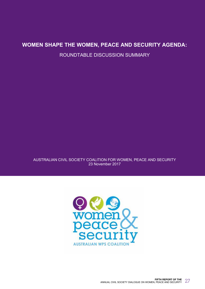### **WOMEN SHAPE THE WOMEN, PEACE AND SECURITY AGENDA:**

ROUNDTABLE DISCUSSION SUMMARY

AUSTRALIAN CIVIL SOCIETY COALITION FOR WOMEN, PEACE AND SECURITY 23 November 2017

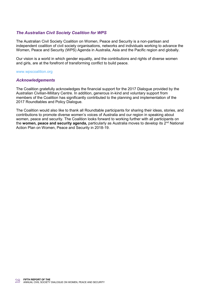#### *The Australian Civil Society Coalition for WPS*

The Australian Civil Society Coalition on Women, Peace and Security is a non-partisan and independent coalition of civil society organisations, networks and individuals working to advance the Women, Peace and Security (WPS) Agenda in Australia, Asia and the Pacific region and globally.

Our vision is a world in which gender equality, and the contributions and rights of diverse women and girls, are at the forefront of transforming conflict to build peace.

www.wpscoalition.org

#### *Acknowledgements*

The Coalition gratefully acknowledges the financial support for the 2017 Dialogue provided by the Australian Civilian-Military Centre. In addition, generous in-kind and voluntary support from members of the Coalition has significantly contributed to the planning and implementation of the 2017 Roundtables and Policy Dialogue.

The Coalition would also like to thank all Roundtable participants for sharing their ideas, stories, and contributions to promote diverse women's voices of Australia and our region in speaking about women, peace and security. The Coalition looks forward to working further with all participants on the **women, peace and security agenda,** particularly as Australia moves to develop its 2nd National Action Plan on Women, Peace and Security in 2018-19.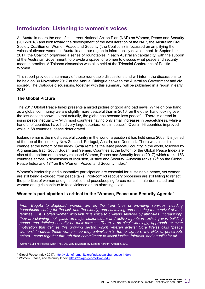#### **Introduction: Listening to women's voices**

As Australia nears the end of its current National Action Plan (NAP) on Women, Peace and Security (2012-2018) and look toward the development of the next iteration of the NAP, the Australian Civil Society Coalition on Women Peace and Security ('the Coalition') is focussed on amplifying the voices of diverse women in Australia and our region to inform policy development. In September 2017, the Coalition organised a series of roundtables in each Australian capital city, with the support of the Australian Government, to provide a space for women to discuss what peace and security mean in practice. A Talanoa discussion was also held at the Triennial Conference of Pacific Women.

This report provides a summary of these roundtable discussions and will inform the discussions to be held on 30 November 2017 at the Annual Dialogue between the Australian Government and civil society. The Dialogue discussions, together with this summary, will be published in a report in early 2018.

#### **The Global Picture**

The 2017 Global Peace Index presents a mixed picture of good and bad news. While on one hand as a global community we are slightly more peaceful than in 2016; on the other hand looking over the last decade shows us that actually, the globe has become less peaceful. There is a trend in rising peace inequality – "with most countries having only small increases in peacefulness, while a handful of countries have had very large deteriorations in peace."<sup>1</sup> Overall 93 countries improved while in 68 countries, peace deteriorated.

Iceland remains the most peaceful country in the world, a position it has held since 2008. It is joined at the top of the index by New Zealand, Portugal, Austria, and Denmark. There was also little change at the bottom of the index. Syria remains the least peaceful country in the world, followed by Afghanistan, Iraq, South Sudan, and Yemen. Countries at the bottom of the Global Peace Index are also at the bottom of the newly released Women, Peace and Security Index (2017) which ranks 153 countries across 3 dimensions of Inclusion, Justice and Security. Australia ranks  $12<sup>th</sup>$  on the Global Peace Index and 17<sup>th</sup> on the Women, Peace, and Security Index.<sup>2</sup>

Women's leadership and substantive participation are essential for sustainable peace, yet women are still being excluded from peace talks. Post-conflict recovery processes are still failing to reflect the priorities of women and girls; police and peacekeeping forces remain male-dominated and women and girls continue to face violence on an alarming scale.

#### **Women's participation is critical to the 'Women, Peace and Security Agenda'**

*From Bogotá to Baghdad, women are on the front lines of providing services, heading households, caring for the sick and the elderly, and sustaining and ensuring the survival of their* families ... It is often women who first give voice to civilians silenced by atrocities. Increasingly, *they are claiming their place as major stakeholders and active agents in resisting war, building peace, and defining security on their terms…. There is no single ideology, approach, or even motivation that defines this growing sector, which veteran activist Cora Weiss calls "peace women." In effect, these women—be they antimilitarists, former fighters, the elite, or grassroots actors—come together through their commitment to social justice, fairness, and equality for all.*

Women Building Peace: What They Do, Why It Matters by Sanam Naraghi Anderlin. 2007.

 $\overline{a}$ <sup>1</sup> Global Peace Index 2017. http://visionofhumanity.org/indexes/global-peace-index/

<sup>2</sup> Women, Peace, and Security Index. https://giwps.georgetown.edu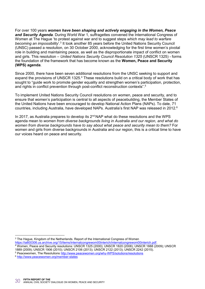For over 100 years *women have been shaping and actively engaging in the Women, Peace and Security Agenda*. During World War 1, suffragettes convened the International Congress of Women at The Hague 'to protest against war and to suggest steps *which may lead to warfare becoming an impossibility*'.<sup>3</sup> It took another 85 years before the United Nations Security Council (UNSC) passed a resolution, on 30 October 2000, acknowledging for the first time women's pivotal role in building and maintaining peace, as well as the disproportionate impact of conflict on women and girls. This resolution – *United Nations Security Council Resolution 1325* (UNSCR 1325) - forms the foundation of the framework that has become known as the **Women, Peace and Security (WPS) agenda**.

Since 2000, there have been seven additional resolutions from the UNSC seeking to support and expand the provisions of UNSCR 1325.<sup>4</sup> These resolutions build on a critical body of work that has sought to "guide work to promote gender equality and strengthen women's participation, protection, and rights in conflict prevention through post-conflict reconstruction contexts".<sup>5</sup>

To implement United Nations Security Council resolutions on women, peace and security, and to ensure that women's participation is central to all aspects of peacebuilding, the Member States of the United Nations have been encouraged to develop National Action Plans (NAPs). To date, 71 countries, including Australia, have developed NAPs. Australia's first NAP was released in 2012.<sup>6</sup>

In 2017, as Australia prepares to develop its  $2<sup>nd</sup> NAP$  what do these resolutions and the WPS agenda mean to *women from diverse backgrounds living in Australia and our region, and what do women from diverse backgrounds have to say about what peace and security mean to them?* For women and girls from diverse backgrounds in Australia and our region, this is a critical time to have our voices heard on peace and security.

<sup>3</sup> The Hague, Kingdom of the Netherlands. Report of the International Congress of Women<br>https://ia800306.us.archive.org/15/items/internatcongrewom00interich/internatcongrewom00interich.pdf.

https://ia800306.us.archive.org/15/items/internatcongrewom00interich/internatcongrewom00interich.pdf. 4 Women, Peace and Security resolutions: UNSCR 1325 (2000); UNSCR 1820 (2008); UNSCR 1888 (2009); UNSCR 1889 (2009); UNSCR 1906 (2010); UNSCR 2106 (2013); UNSCR 2122 (2013); UNSCR 2242 (2015).

<sup>6</sup> http://www.peacewomen.org/member-states

 $\overline{a}$ 

<sup>5</sup> Peacewomen, The Resolutions http://www.peacewomen.org/why-WPS/solutions/resolutions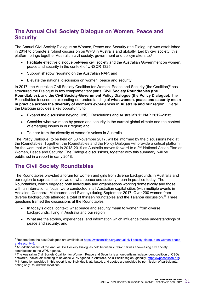### **The Annual Civil Society Dialogue on Women, Peace and Security**

The Annual Civil Society Dialogue on Women, Peace and Security (the Dialogue)<sup>7</sup> was established in 2014 to promote a robust discussion on WPS in Australia and globally. Led by civil society, this platform brings together Australian civil society, government and policymakers to:8

- Facilitate effective dialogue between civil society and the Australian Government on women, peace and security in the context of UNSCR 1325;
- Support shadow reporting on the Australian NAP; and
- Elevate the national discussion on women, peace and security.

In 2017, the Australian Civil Society Coalition for Women, Peace and Security (the Coalition)<sup>9</sup> has structured the Dialogue in two complementary parts: **Civil Society Roundtables (the Roundtables)**; and **the Civil Society-Government Policy Dialogue (the Policy Dialogue)**. The Roundtables focused on expanding our understanding of **what women, peace and security mean in practice across the diversity of women's experiences in Australia and our region**. Overall the Dialogue provides a key opportunity to:

- Expand the discussion beyond UNSC Resolutions and Australia's 1<sup>st</sup> NAP 2012-2018;
- Consider what we mean by peace and security in the current global climate and the context of emerging issues in our region; and
- To hear from the diversity of women's voices in Australia.

The Policy Dialogue, to be held on 30 November 2017, will be informed by the discussions held at the Roundtables. Together, the Roundtables and the Policy Dialogue will provide a critical platform for the work that will follow in 2018-2019 as Australia moves forward to a 2<sup>nd</sup> National Action Plan on Women, Peace and Security. The Dialogue discussions, together with this summary, will be published in a report in early 2018.

### **The Civil Society Roundtables**

 $\overline{a}$ 

The Roundtables provided a forum for women and girls from diverse backgrounds in Australia and our region to express their views on what peace and security mean in practice today. The Roundtables, which engaged both individuals and organisations working domestically and those with an international focus, were conducted in all Australian capital cities (with multiple events in Adelaide, Canberra, Melbourne, and Sydney) during September 2017. Over 200 women from diverse backgrounds attended a total of thirteen roundtables and the Talanoa discussion. <sup>10</sup> Three questions framed the discussions at the Roundtables:

- In today's global context, what peace and security mean to women from diverse backgrounds, living in Australia and our region
- What are the stories, experiences, and information which influence these understandings of peace and security; and

<sup>7</sup> Reports from the past Dialogues are available at https://wpscoalition.org/annual-civil-society-dialogue-on-women-peaceand-security-2/

<sup>8</sup> An additional aim of the Annual Civil Socieity Dialogues held between 2013-2016 was showcasing civil society contributions to the WPS agenda.

<sup>9</sup> The Australian Civil Society Coalition for Women, Peace and Security is a non-partisan, independent coalition of CSOs. networks, individuals working to advance WPS agenda in Australia, Asia-Pacific region, globally. https://wpscoalition.org/ <sup>10</sup> Information provided in this report is not individually attributed, and quotes are provided by permission of participants, noting only Roundtable locations.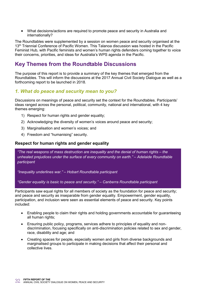What decisions/actions are required to promote peace and security in Australia and internationally?

The Roundtables were supplemented by a session on women peace and security organised at the 13<sup>th</sup> Triennial Conference of Pacific Women. This Talanoa discussion was hosted in the Pacific Feminist Hub, with Pacific feminists and women's human rights defenders coming together to voice their concerns, priorities, and ideas for Australia's WPS agenda in the Pacific.

#### **Key Themes from the Roundtable Discussions**

The purpose of this report is to provide a summary of the key themes that emerged from the Roundtables. This will inform the discussions at the 2017 Annual Civil Society Dialogue as well as a forthcoming report to be launched in 2018.

#### *1. What do peace and security mean to you?*

Discussions on meanings of peace and security set the context for the Roundtables. Participants' ideas ranged across the personal, political, community, national and international, with 4 key themes emerging:

- 1) Respect for human rights and gender equality;
- 2) Acknowledging the diversity of women's voices around peace and security;
- 3) Marginalisation and women's voices; and
- 4) Freedom and "humanising" security.

#### **Respect for human rights and gender equality**

*"The real weapons of mass destruction are inequality and the denial of human rights – the unhealed prejudices under the surface of every community on earth." – Adelaide Roundtable participant*

*"Inequality underlines war." – Hobart Roundtable participant*

*"Gender equality is basic to peace and security." – Canberra Roundtable participant*

Participants saw equal rights for all members of society as the foundation for peace and security; and peace and security as inseparable from gender equality. Empowerment, gender equality, participation, and inclusion were seen as essential elements of peace and security. Key points included:

- Enabling people to claim their rights and holding governments accountable for guaranteeing all human rights;
- Ensuring public policy, programs, services adhere to principles of equality and nondiscrimination, focusing specifically on anti-discrimination policies related to sex and gender, race, disability and age; and
- Creating spaces for people, especially women and girls from diverse backgrounds and marginalised groups to participate in making decisions that affect their personal and collective lives.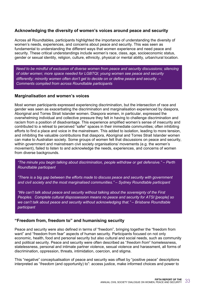#### **Acknowledging the diversity of women's voices around peace and security**

Across all Roundtables, participants highlighted the importance of understanding the diversity of women's needs, experiences, and concerns about peace and security. This was seen as fundamental to understanding the different ways that women experience and need peace and security. These critical understandings include women's race, class, age, socioeconomic status, gender or sexual identity, religion, culture, ethnicity, physical or mental ability, urban/rural location.

*Need to be mindful of exclusion of diverse women from peace and security discussions; silencing of older women; more space needed for LGBTQI; young women see peace and security differently; minority women often don't get to decide on or define peace and security. – Comments compiled from across Roundtable participants*

#### **Marginalisation and women's voices**

Most women participants expressed experiencing discrimination, but the intersection of race and gender was seen as exacerbating the discrimination and marginalisation experienced by diaspora, Aboriginal and Torres Strait Islander women. Diaspora women, in particular, expressed the overwhelming individual and collective pressure they felt in having to challenge discrimination and racism from a position of disadvantage. This experience amplified women's sense of insecurity and contributed to a retreat to perceived "safer" spaces in their immediate communities; often inhibiting efforts to find a place and voice in the mainstream. This added to isolation, leading to more tension, and inhibiting the valuable contributions that diaspora, Aboriginal and Torres Strait Islander women can make to Australian society. Some groups of women felt that discussions on peace and security, within government and mainstream civil society organisations/ movements (e.g. the women's movement), failed to listen to and acknowledge the needs, experiences, and concerns of women from diverse backgrounds.

*"The minute you begin talking about discrimination, people withdraw or get defensive." – Perth Roundtable participant*

*"There is a big gap between the efforts made to discuss peace and security with government and civil society and the most marginalised communities." – Sydney Roundtable participant*

*"We can't talk about peace and security without talking about the sovereignty of the First Peoples. Complete cultural dispossession means no peace and security for ATSI [people] so we can't talk about peace and security without acknowledging that." – Brisbane Roundtable participant*

#### **"Freedom from, freedom to" and humanising security**

Peace and security were also defined in terms of "freedom", bringing together the "freedom from want" and "freedom from fear" aspects of human security. Participants focused on not only economic, health, food and personal security but also cultural and social needs, such as community and political security. Peace and security were often described as "*freedom from*" homelessness, statelessness, personal and intimate partner violence, sexual violence and harassment, all forms of discrimination, oppression, threats, intimidation, coercion, and stigma.

This "negative" conceptualisation of peace and security was offset by "positive peace" descriptions interpreted as "*freedom* (and opportunity) to": access justice, make informed choices and power to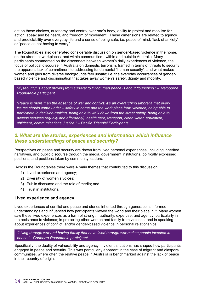act on those choices, autonomy and control over one's body, ability to protest and mobilise for action, speak and be heard, and freedom of movement. These dimensions are related to agency and predictability over everyday life and a sense of being safe; i.e. peace of mind, "lack of anxiety" or "peace as not having to worry".

The Roundtables also generated considerable discussion on gender-based violence in the home, on the street, at workplaces, and within communities - within and outside Australia. Many participants commented on the disconnect between women's daily experiences of violence, the focus of political discourse in Australia on domestic terrorism, framed in terms of threats to security, the apparent lack of commitment to addressing fundamental "human security", and what makes women and girls from diverse backgrounds feel unsafe; i.e. the everyday occurrences of genderbased violence and discrimination that takes away women's safety, dignity and mobility.

*"If [security] is about moving from survival to living, then peace is about flourishing." – Melbourne Roundtable participant*

*"Peace is more than the absence of war and conflict: it's an overarching umbrella that every issues should come under – safety in home and the work place from violence, being able to participate in decision-making, being able to walk down from the street safely, being able to access services (equally and affordably): health care, transport, clean water, education, childcare, communications, justice." – Pacific Triennial Participants*

#### *2. What are the stories, experiences and information which influence these understandings of peace and security?*

Perspectives on peace and security are drawn from lived personal experiences, including inherited narratives, and public discourse through the media, government institutions, politically expressed positions, and positions taken by community leaders.

Across the Roundtables there were 4 main themes that contributed to this discussion:

- 1) Lived experience and agency;
- 2) Diversity of women's voices;
- 3) Public discourse and the role of media; and
- 4) Trust in institutions.

#### **Lived experience and agency**

Lived experiences of conflict and peace and stories inherited through generations informed understandings and influenced how participants viewed the world and their place in it. Many women saw these lived experiences as a form of strength, authority, expertise, and agency, particularly in the resistance to violence; in protecting other women and family from violence; and in speaking about experiences of conflict, and/or gender-based violence in personal relationships.

*"Living through war and having family that have lived through war makes people invested in peace." - Canberra Roundtable participant*

Specifically, the duality of vulnerability and agency in violent situations has shaped how participants engaged in peace and security. This was particularly apparent in the case of migrant and diaspora communities, where often the relative peace in Australia is benchmarked against the lack of peace in their country of origin.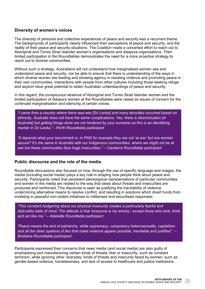#### **Diversity of women's voices**

The diversity of personal and collective experiences of peace and security was a recurrent theme. The backgrounds of participants clearly influenced their perceptions of peace and security, and the reality of their peace and security situations. The Coalition made a concerted effort to reach out to Aboriginal and Torres Strait Islander women's organisations and diaspora organisations. Their limited participation in the Roundtables demonstrates the need for a more proactive strategy to reach out to diverse communities.

Without such a strategy, Australians will not understand how marginalised women see and understand peace and security, nor be able to ensure that there is understanding of the ways in which diverse women are leading and showing agency in resisting violence and promoting peace in their own communities. Interactions with people from other cultures including those seeking refuge and asylum have great potential to widen Australian understandings of peace and security.

In this regard, the conspicuous absence of Aboriginal and Torres Strait Islander women and the limited participation of diaspora women at the Roundtables were raised as issues of concern for the continued marginalisation and silencing of certain voices.

*"I came from a country where there was war [Sri Lanka] and many atrocities occurred based on ethnicity. Australia does not have the same complications. Yes, there is discrimination [in Australia] but getting things done are not hindered by your surname as this is an identifying marker in Sri Lanka." - Perth Roundtable participant*

*"It depends what your benchmark is: in PNG for example they are not 'at war' but are women secure? It's the same in Australia with our Indigenous communities, where we might not be at war but these communities face huge insecurities." – Canberra Roundtable participant*

#### **Public discourse and the role of the media**

Roundtable discussions also focused on how, through the use of specific language and images, the media (including social media) plays a key role in shaping how people think about peace and security. Participants noted that persistent stereotypical representations of particular communities and women in the media are related to the way that ideas about threats and insecurities are produced and reinforced. This discourse is seen as justifying the inevitability of violence, undermining alternative means to resolve conflict, and resulting in solutions which divert funds from investing in peaceful non-violent initiatives to militarised and securitised responses.

*"This constant badgering about our physical insecurity creates a particularly fearful and distrustful state of mind. The attitude is that 'everyone is my enemy', except those who look, think and act like me." – Adelaide Roundtable participant*

*"Peace means the end of patriarchy, white supremacy, compulsory heterosexuality, capitalism and all the other systems of lies that make violence appear possible, inevitable and justified." – Brisbane Roundtable participant*

Participants expressed their concerns that news media (and social media) are also guilty of emphasising and manufacturing certain kinds of threats, fear or insecurity, such as constant terrorism, while ignoring other 'everyday' kinds of threats and insecurity faced by women, such as gender-based violence, homelessness, and lack of access to healthcare and justice institutions.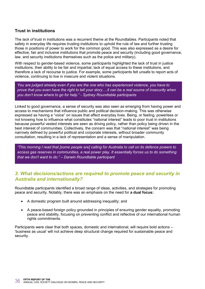#### **Trust in institutions**

The *lack of* trust in institutions was a recurrent theme at the Roundtables. Participants noted that safety in everyday life requires trusting institutions to uphold the rule of law and further trusting those in positions of power to work for the common good. This was also expressed as a desire for effective, fair and inclusive institutions that promote peace and security (including good governance, law, and security institutions themselves such as the police and military).

With respect to gender-based violence, some participants highlighted the lack of trust in justice institutions, their ability to be fair and impartial, lack of equal access to these institutions, and therefore a lack of recourse to justice. For example, some participants felt unsafe to report acts of violence, continuing to live in insecure and violent situations.

*You are judged already even if you are the one who has experienced violence, you have to prove that you even have the right to tell your story….it can be a real source of insecurity when you don't know where to go for help." - Sydney Roundtable participants*

Linked to good governance, a sense of security was also seen as emerging from having power and access to mechanisms that influence public and political decision-making. This was otherwise expressed as having a "voice" on issues that affect everyday lives. Being, or feeling, powerless or not knowing how to influence what constitutes "national interest" leads to poor trust in institutions because powerful vested interests are seen as driving policy, rather than policy being driven in the best interest of communities. Collectively, the concern was that "national interest" was being narrowly defined by powerful political and corporate interests, without broader community consultation, resulting in a lack of representation and a sense of manipulation.

*"This morning I read that [some people are] calling for Australia to call on its defence powers to access gas reserves in communities, a real power play. It essentially forces us to do something that we don't want to do." – Darwin Roundtable participant*

#### *3. What decisions/actions are required to promote peace and security in Australia and internationally?*

Roundtable participants identified a broad range of ideas, activities, and strategies for promoting peace and security. Notably, there was an emphasis on the need for **a dual focus:**

- A domestic program built around addressing inequality; and
- A peace-based foreign policy grounded in principles of ensuring gender equality, promoting peace and stability, focusing on preventing conflict and reflective of our international human rights commitments.

Participants were clear that both spaces, domestic and international, will require bold actions – 'business as usual' will not achieve deep structural change required for sustainable peace and security.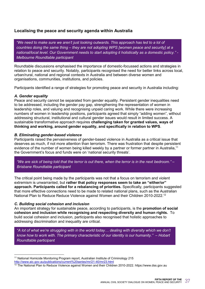#### **Localising the peace and security agenda within Australia**

"We need to make sure we aren't just looking outwards. This approach has led to a lot of *countries doing the same thing – they are not adopting WPS [women peace and security] at a national/local level. Our Government needs to start adopting it holistically as a domestic policy." - Melbourne Roundtable participant*

Roundtable discussions emphasised the importance of domestic-focussed actions and strategies in relation to peace and security. Notably, participants recognised the need for better links across local, urban/rural, national and regional contexts in Australia and between diverse women and organisations, communities, institutions, and policies.

Participants identified a range of strategies for promoting peace and security in Australia including:

#### *A. Gender equality*

Peace and security cannot be separated from gender equality. Persistent gender inequalities need to be addressed, including the gender pay gap, strengthening the representation of women in leadership roles, and valuing and recognising unpaid caring work. While there were increasing numbers of women in leadership positions, participants agreed that simply "adding women", without addressing structural, institutional and cultural gender issues would result in limited success. A sustainable transformative approach requires **challenging taken for granted values, ways of thinking and working, around gender equality, and specifically in relation to WPS**.

#### *B. Eliminating gender-based violence*

Participants raised the pervasiveness of gender-based violence in Australia as a critical issue that deserves as much, if not more attention than terrorism. There was frustration that despite persistent evidence of the number of women being killed weekly by a partner or former partner in Australia,<sup>11</sup> the Government's focus and funds were on 'national security threats'.

*"We are sick of being told that the terror is out there, when the terror is in the next bedroom." – Brisbane Roundtable participant*

The critical point being made by the participants was not that a focus on terrorism and violent extremism is unwarranted, but **rather that policy responses seem to take an "either/or" approach. Participants called for a rebalancing of priorities.** Specifically, participants suggested that more effective connections need to be made to related national plans, such as the Australian National Plan to Reduce Reduce Violence against Women and their Children 2010-2022.<sup>12</sup>

#### *C. Building social cohesion and inclusion*

An important strategy for sustainable peace, according to participants, is the **promotion of social cohesion and inclusion while recognising and respecting diversity and human rights.** To build social cohesion and inclusion, participants also recognised that holistic approaches to addressing discrimination and inequality are critical.

*"A lot of what we're struggling with in the world today… dealing with diversity which we don't know how to work with. The primary characteristic of our identity is our humanity." – Hobart Roundtable participant*

 $\overline{a}$ <sup>11</sup> National Homicide Monitoring Program report, Australian Institute of Criminology 215 http://www.aic.gov.au/publications/current%20series/mr/21-40/mr23.html

<sup>12</sup> The National Plan to Reduce Violence against Women and their Children 2010-2022. https://www.dss.gov.au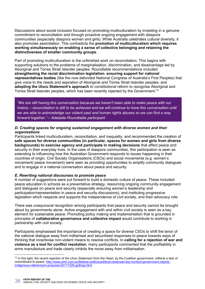Discussions about social inclusion focused on promoting multiculturalism by investing in a genuine commitment to reconciliation and through proactive ongoing engagement with diaspora communities (especially diaspora women and girls). While Australia celebrates cultural diversity, it also promotes assimilation. This contradicts the **promotion of multiculturalism which requires working simultaneously on enabling a sense of collective belonging and retaining the distinctiveness of smaller community groups.**

Part of promoting multiculturalism is the unfinished work on reconciliation. This begins with supporting solutions to the problems of marginalisation, discrimination, and disadvantage led by Aboriginal and Torres Strait Islander peoples. Roundtable recommendations included: **strengthening the racial discrimination legislation**; **ensuring support for national representatives bodies** (like the now defunded National Congress of Australia's First Peoples) that give voice to the needs and aspiration of Aboriginal and Torres Strait Islander peoples; and **adopting the Uluru Statement's approach** to constitutional reform to recognise Aboriginal and Torres Strait Islander peoples, which has been recently rejected by the Government.<sup>13</sup>

*"We are still having this conversation because we haven't been able to make peace with our history – reconciliation is still to be achieved and we will continue to have this conversation until we are able to acknowledge our violent past and human rights abuses so we can find a way forward together." – Adelaide Roundtable participant*

#### *D. Creating spaces for ongoing sustained engagement with diverse women and their organisations*

Participants linked multiculturalism, reconciliation, and inequality, and recommended the creation of **safe spaces for diverse communities (in particular, spaces for women and girls from diverse backgrounds) to exercise agency and participate in making decisions** that affect peace and security in their everyday lives. In the case of diaspora communities, this participation is seen as extending to influencing how the Australian Government responds to issues happening in their countries of origin. Civil Society Organisations (CSOs) and social movements (e.g. women's movement/ peace movement) were seen as providing opportunities to amplify community dialogues and to engage in a national conversation about peace and security.

#### *E. Rewriting national discourses to promote peace*

A number of suggestions were put forward to build a domestic culture of peace. These included: peace education in schools as a preventative strategy, resourcing ongoing community engagement and dialogues on peace and security (especially ensuring women's leadership and participation/representation in peace and security discussions), and instituting progressive legislation which respects and supports the independence of civil society, and their advocacy role.

There was unequivocal recognition among participants that peace and security cannot be brought about by governments alone. Active engagement with and within civil society is seen as a key element for sustainable peace. Promoting policy making and implementation that is grounded in principles of **collaborative governance and collective impact** would contribute to working in partnership with civil society**.** 

Participants emphasised the importance of creating a space for diverse CSOs to shift the tenor of the national dialogue away from militarised and securitised responses to peace towards ways of thinking that incentivise non-violent means to resolve conflicts. In **calling for a rejection of war and violence as a tool for conflict resolution**, many participants commented that the profitability in arms manufacture and trade clearly inhibits the move away from militarisation.

 $\overline{a}$ <sup>13</sup> In this light, the recent rejection of the Uluru Statement from the Heart, by the Coalition government, reflects a lack of commitment to peace. http://www.smh.com.au/federal-politics/political-news/sad-day-turnbull-government-rejectsindigenous-referendum-proposal-20171026-gz8mpj.html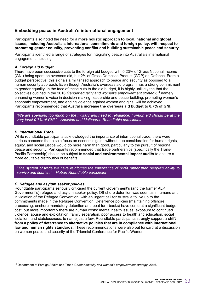#### **Embedding peace in Australia's international engagement**

Participants also noted the need for a **more holistic approach to local, national and global issues, including Australia's international commitments and foreign policy, with respect to promoting gender equality, preventing conflict and building sustainable peace and security**.

Participants identified a range of strategies for integrating peace into Australia's international engagement including:

#### *A. Foreign aid budget*

There have been successive cuts to the foreign aid budget, with 0.23% of Gross National Income (GNI) being spent on overseas aid, but 2% of Gross Domestic Product (GDP) on Defence. From a budget perspective, this signals a militarised approach to peace and security as opposed to a human security approach. Even though Australia's overseas aid program has a strong commitment to gender equality, in the face of these cuts to the aid budget, it is highly unlikely the that the objectives outlined in the 2016 *Gender equality and women's empowerment strategy,* <sup>14</sup> namely enhancing women's voice in decision-making, leadership and peace-building, promoting women's economic empowerment, and ending violence against women and girls, will be achieved. Participants recommended that Australia **increase the overseas aid budget to 0.7% of GNI.**

*"We are spending too much on the military and need to rebalance. Foreign aid should be at the very least 0.7% of GNI." - Adelaide and Melbourne Roundtable participants*

#### *B. International Trade*

While roundtable participants acknowledged the importance of international trade, there were serious concerns that a sole focus on economic gains without due consideration for human rights, equity, and social justice would do more harm than good, particularly to the pursuit of regional peace and security. Participants recommended that trade partnerships (specifically the Trans-Pacific Partnership) should be subject to **social and environmental impact audits** to ensure a more equitable distribution of benefits.

*"The system of trade we have reinforces the importance of profit rather than people's ability to survive and flourish." – Hobart Roundtable participant* 

#### *C. Refugee and asylum seeker policies*

Roundtable participants seriously criticised the current Government's (and the former ALP Government's) refugee and asylum seeker policy. Off-shore detention was seen as inhumane and in violation of the Refugee Convention, with an urgent call for Australia to live up to the commitments made in the Refugee Convention. Deterrence policies (maintaining offshore processing, onshore mandatory detention and boat turn-backs) have come at a significant budget cost, but more importantly there are human costs: mental health issues, exposure to continued violence, abuse and exploitation, family separation, poor access to health and education, social isolation, and statelessness, to name just a few. Roundtable participants strongly support a **shift from a policy of deterrence to alternative policies that are in compliance with international law and human rights standards**. These recommendations were also put forward at a discussion on women peace and security at the Triennial Conference for Pacific Women.

 <sup>14</sup> Department of Foreign Affairs and Trade *Gender equality and women's empowerment strategy*. 2016.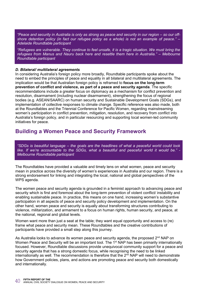*"Peace and security in Australia is only as strong as peace and security in our region – so our offshore detention policy (in fact our refugee policy as a whole) is not an example of peace." – Adelaide Roundtable participant*

*"Refugees are vulnerable. They continue to feel unsafe, it is a tragic situation. We must bring the refugees from Manus and Nauru back here and resettle them here in Australia." – Melbourne Roundtable participant*

#### *D. Bilateral/ multilateral agreements*

In considering Australia's foreign policy more broadly, Roundtable participants spoke about the need to embed the principles of peace and equality in all bilateral and multilateral agreements. The implication would be that Australian foreign policy is reframed to **focus on the long-term prevention of conflict and violence, as part of a peace and security agenda**. The specific recommendations include a greater focus on diplomacy as a mechanism for conflict prevention and resolution, disarmament (including nuclear disarmament), strengthening the focus of regional bodies (e.g. ASEAN/SAARC) on human security and Sustainable Development Goals (SDGs), and implementation of collective responses to climate change. Specific reference was also made, both at the Roundtables and the Triennial Conference for Pacific Women, regarding mainstreaming women's participation in conflict prevention, mitigation, resolution, and recovery from conflict into Australia's foreign policy, and in particular resourcing and supporting local women-led community initiatives for peace.

#### **Building a Women Peace and Security Framework**

*"SDGs is beautiful language – the goals are the headlines of what a peaceful world could look like. If we're accountable to the SDGs, what a beautiful and peaceful world it would be." - Melbourne Roundtable participant*

The Roundtables have provided a valuable and timely lens on what women, peace and security mean in practice across the diversity of women's experiences in Australia and our region. There is a strong endorsement for linking and integrating the local, national and global perspectives of the WPS agenda.

The women peace and security agenda is grounded in a feminist approach to advancing peace and security which is first and foremost about the long-term prevention of violent conflict/ instability and enabling sustainable peace. In practice, this means on one hand, increasing women's substantive participation in all aspects of peace and security policy development and implementation. On the other hand, women peace and security is equally about transforming structures contributing to violence, militarization, and armament to a focus on human rights, human security, and peace, at the national, regional and global levels.

Women want more than just a seat at the table; they want equal opportunity and access to (re) frame what peace and security mean. These Roundtables and the creative contributions of participants have provided a small step along this journey.

As Australia looks to advance its women peace and security agenda, the proposed 2<sup>nd</sup> NAP on Women Peace and Security will be an important tool. The 1<sup>st</sup> NAP has been primarily internationally focused. However, Roundtable discussions provide unequivocal community support for a peace and security agenda that has a strong domestic focus, while recognising the need to be linked internationally as well. The recommendation is therefore that the  $2<sup>nd</sup> NAP$  will need to demonstrate how Government policies, plans, and actions are promoting peace and security both domestically and internationally.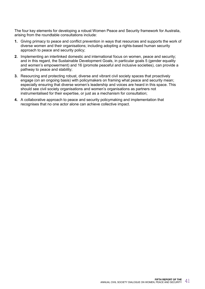The four key elements for developing a robust Women Peace and Security framework for Australia, arising from the roundtable consultations include:

- **1.** Giving primacy to peace and conflict prevention in ways that resources and supports the work of diverse women and their organisations; including adopting a rights-based human security approach to peace and security policy;
- **2.** Implementing an interlinked domestic and international focus on women, peace and security; and in this regard, the Sustainable Development Goals, in particular goals 5 (gender equality and women's empowerment) and 16 (promote peaceful and inclusive societies), can provide a pathway to peace and stability;
- **3.** Resourcing and protecting robust, diverse and vibrant civil society spaces that proactively engage (on an ongoing basis) with policymakers on framing what peace and security mean; especially ensuring that diverse women's leadership and voices are heard in this space. This should see civil society organisations and women's organisations as partners not instrumentalised for their expertise, or just as a mechanism for consultation;
- **4.** A collaborative approach to peace and security policymaking and implementation that recognises that no one actor alone can achieve collective impact.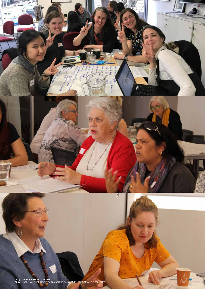